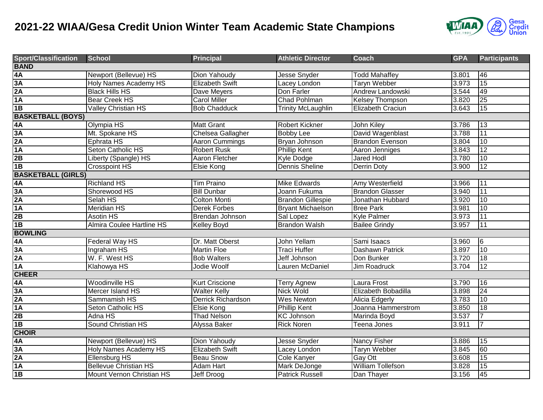## **2021-22 WIAA/Gesa Credit Union Winter Team Academic State Champions**



| <b>Sport/Classification</b> | <b>School</b>                    | <b>Principal</b>          | <b>Athletic Director</b>  | <b>Coach</b>             | <b>GPA</b> | <b>Participants</b> |  |  |  |
|-----------------------------|----------------------------------|---------------------------|---------------------------|--------------------------|------------|---------------------|--|--|--|
| <b>BAND</b>                 |                                  |                           |                           |                          |            |                     |  |  |  |
| 4A                          | Newport (Bellevue) HS            | Dion Yahoudy              | Jesse Snyder              | <b>Todd Mahaffey</b>     | 3.801      | 46                  |  |  |  |
| 3A                          | <b>Holy Names Academy HS</b>     | <b>Elizabeth Swift</b>    | Lacey London              | <b>Taryn Webber</b>      | 3.973      | 15                  |  |  |  |
| 2A                          | <b>Black Hills HS</b>            | Dave Meyers               | Don Farler                | Andrew Landowski         | 3.544      | 49                  |  |  |  |
| 1A                          | <b>Bear Creek HS</b>             | <b>Carol Miller</b>       | <b>Chad Pohlman</b>       | <b>Kelsey Thompson</b>   | 3.820      | 25                  |  |  |  |
| 1B                          | <b>Valley Christian HS</b>       | <b>Bob Chadduck</b>       | <b>Trinity McLaughlin</b> | Elizabeth Craciun        | 3.643      | 15                  |  |  |  |
| <b>BASKETBALL (BOYS)</b>    |                                  |                           |                           |                          |            |                     |  |  |  |
| 4A                          | Olympia HS                       | <b>Matt Grant</b>         | <b>Robert Kickner</b>     | John Kiley               | 3.786      | 13                  |  |  |  |
| 3A                          | Mt. Spokane HS                   | Chelsea Gallagher         | <b>Bobby Lee</b>          | David Wagenblast         | 3.788      | 11                  |  |  |  |
| 2A                          | Ephrata HS                       | <b>Aaron Cummings</b>     | Brvan Johnson             | <b>Brandon Evenson</b>   | 3.804      | 10                  |  |  |  |
| 1A                          | <b>Seton Catholic HS</b>         | <b>Robert Rusk</b>        | <b>Phillip Kent</b>       | Aaron Jenniges           | 3.843      | 12                  |  |  |  |
| 2B                          | Liberty (Spangle) HS             | Aaron Fletcher            | Kyle Dodge                | <b>Jared Hodl</b>        | 3.780      | 10                  |  |  |  |
| 1B                          | <b>Crosspoint HS</b>             | <b>Elsie Kong</b>         | <b>Dennis Sheline</b>     | <b>Derrin Doty</b>       | 3.900      | 12                  |  |  |  |
| <b>BASKETBALL (GIRLS)</b>   |                                  |                           |                           |                          |            |                     |  |  |  |
| 4A                          | <b>Richland HS</b>               | <b>Tim Praino</b>         | <b>Mike Edwards</b>       | Amy Westerfield          | 3.966      | 11                  |  |  |  |
| 3A                          | Shorewood HS                     | <b>Bill Dunbar</b>        | Joann Fukuma              | <b>Brandon Glasser</b>   | 3.940      | 11                  |  |  |  |
| 2A                          | Selah HS                         | <b>Colton Monti</b>       | <b>Brandon Gillespie</b>  | Jonathan Hubbard         | 3.920      | 10                  |  |  |  |
| 1A                          | <b>Meridian HS</b>               | <b>Derek Forbes</b>       | <b>Bryant Michaelson</b>  | <b>Bree Park</b>         | 3.981      | 10                  |  |  |  |
| 2B                          | <b>Asotin HS</b>                 | Brendan Johnson           | Sal Lopez                 | <b>Kyle Palmer</b>       | 3.973      | 11                  |  |  |  |
| 1B                          | <b>Almira Coulee Hartline HS</b> | Kelley Boyd               | <b>Brandon Walsh</b>      | <b>Bailee Grindy</b>     | 3.957      | 11                  |  |  |  |
| <b>BOWLING</b>              |                                  |                           |                           |                          |            |                     |  |  |  |
| 4A                          | <b>Federal Way HS</b>            | Dr. Matt Oberst           | John Yellam               | Sami Isaacs              | 3.960      | $\overline{6}$      |  |  |  |
| 3A                          | Ingraham HS                      | <b>Martin Floe</b>        | Traci Huffer              | Dashawn Patrick          | 3.897      | 10                  |  |  |  |
| 2A                          | W. F. West HS                    | <b>Bob Walters</b>        | Jeff Johnson              | Don Bunker               | 3.720      | 18                  |  |  |  |
| 1A                          | Klahowya HS                      | Jodie Woolf               | Lauren McDaniel           | <b>Jim Roadruck</b>      | 3.704      | 12                  |  |  |  |
| <b>CHEER</b>                |                                  |                           |                           |                          |            |                     |  |  |  |
| 4A                          | <b>Woodinville HS</b>            | <b>Kurt Criscione</b>     | <b>Terry Agnew</b>        | Laura Frost              | 3.790      | 16                  |  |  |  |
| 3A                          | Mercer Island HS                 | <b>Walter Kelly</b>       | <b>Nick Wold</b>          | Elizabeth Bobadilla      | 3.898      | 24                  |  |  |  |
| 2A                          | Sammamish HS                     | <b>Derrick Richardson</b> | <b>Wes Newton</b>         | <b>Alicia Edgerly</b>    | 3.783      | 10                  |  |  |  |
| 1A                          | Seton Catholic HS                | Elsie Kong                | <b>Phillip Kent</b>       | Joanna Hammerstrom       | 3.850      | 18                  |  |  |  |
| 2B                          | Adna HS                          | <b>Thad Nelson</b>        | <b>KC Johnson</b>         | Marinda Boyd             | 3.537      |                     |  |  |  |
| 1B                          | <b>Sound Christian HS</b>        | Alyssa Baker              | <b>Rick Noren</b>         | Teena Jones              | 3.911      | $\overline{7}$      |  |  |  |
| <b>CHOIR</b>                |                                  |                           |                           |                          |            |                     |  |  |  |
| 4A                          | Newport (Bellevue) HS            | Dion Yahoudy              | Jesse Snyder              | Nancy Fisher             | 3.886      | 15                  |  |  |  |
| 3A                          | <b>Holy Names Academy HS</b>     | <b>Elizabeth Swift</b>    | Lacey London              | <b>Taryn Webber</b>      | 3.845      | 60                  |  |  |  |
| 2A                          | <b>Ellensburg HS</b>             | <b>Beau Snow</b>          | <b>Cole Kanyer</b>        | Gay Ott                  | 3.608      | 15                  |  |  |  |
| 1A                          | <b>Bellevue Christian HS</b>     | <b>Adam Hart</b>          | Mark DeJonge              | <b>William Tollefson</b> | 3.828      | 15                  |  |  |  |
| 1B                          | Mount Vernon Christian HS        | Jeff Droog                | <b>Patrick Russell</b>    | Dan Thayer               | 3.156      | 45                  |  |  |  |